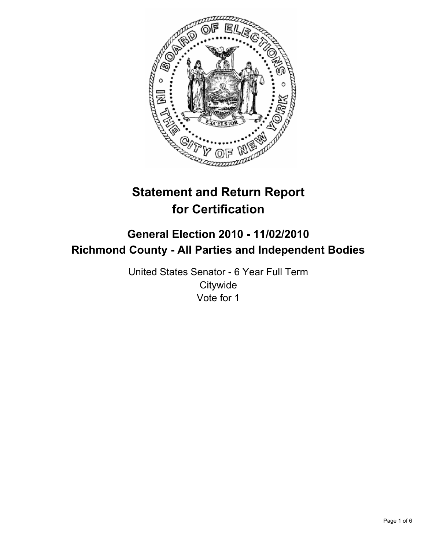

# **Statement and Return Report for Certification**

## **General Election 2010 - 11/02/2010 Richmond County - All Parties and Independent Bodies**

United States Senator - 6 Year Full Term **Citywide** Vote for 1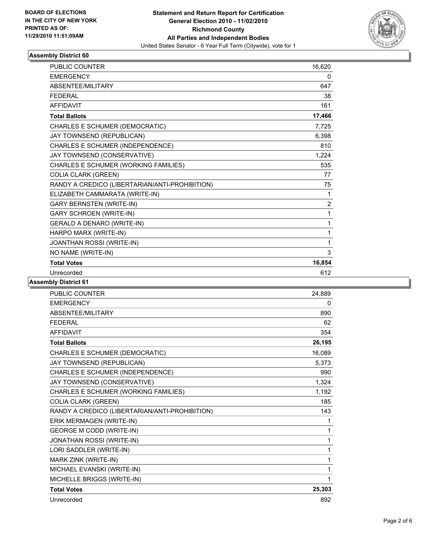

#### **Assembly District 60**

| PUBLIC COUNTER                                 | 16,620 |
|------------------------------------------------|--------|
| <b>EMERGENCY</b>                               | 0      |
| <b>ABSENTEE/MILITARY</b>                       | 647    |
| <b>FEDERAL</b>                                 | 38     |
| <b>AFFIDAVIT</b>                               | 161    |
| <b>Total Ballots</b>                           | 17,466 |
| CHARLES E SCHUMER (DEMOCRATIC)                 | 7,725  |
| JAY TOWNSEND (REPUBLICAN)                      | 6,398  |
| CHARLES E SCHUMER (INDEPENDENCE)               | 810    |
| JAY TOWNSEND (CONSERVATIVE)                    | 1,224  |
| CHARLES E SCHUMER (WORKING FAMILIES)           | 535    |
| <b>COLIA CLARK (GREEN)</b>                     | 77     |
| RANDY A CREDICO (LIBERTARIAN/ANTI-PROHIBITION) | 75     |
| ELIZABETH CAMMARATA (WRITE-IN)                 | 1      |
| <b>GARY BERNSTEN (WRITE-IN)</b>                | 2      |
| <b>GARY SCHROEN (WRITE-IN)</b>                 | 1      |
| <b>GERALD A DENARO (WRITE-IN)</b>              | 1      |
| HARPO MARX (WRITE-IN)                          | 1      |
| JOANTHAN ROSSI (WRITE-IN)                      | 1      |
| NO NAME (WRITE-IN)                             | 3      |
| <b>Total Votes</b>                             | 16,854 |
| Unrecorded                                     | 612    |

#### **Assembly District 61**

| <b>PUBLIC COUNTER</b>                          | 24,889 |
|------------------------------------------------|--------|
| <b>EMERGENCY</b>                               | 0      |
| ABSENTEE/MILITARY                              | 890    |
| <b>FEDERAL</b>                                 | 62     |
| <b>AFFIDAVIT</b>                               | 354    |
| <b>Total Ballots</b>                           | 26,195 |
| CHARLES E SCHUMER (DEMOCRATIC)                 | 16,089 |
| JAY TOWNSEND (REPUBLICAN)                      | 5,373  |
| CHARLES E SCHUMER (INDEPENDENCE)               | 990    |
| JAY TOWNSEND (CONSERVATIVE)                    | 1,324  |
| CHARLES E SCHUMER (WORKING FAMILIES)           | 1,192  |
| <b>COLIA CLARK (GREEN)</b>                     | 185    |
| RANDY A CREDICO (LIBERTARIAN/ANTI-PROHIBITION) | 143    |
| ERIK MERMAGEN (WRITE-IN)                       | 1      |
| <b>GEORGE M CODD (WRITE-IN)</b>                | 1      |
| JONATHAN ROSSI (WRITE-IN)                      | 1      |
| LORI SADDLER (WRITE-IN)                        | 1      |
| MARK ZINK (WRITE-IN)                           | 1      |
| MICHAEL EVANSKI (WRITE-IN)                     | 1      |
| MICHELLE BRIGGS (WRITE-IN)                     | 1      |
| <b>Total Votes</b>                             | 25,303 |
| Unrecorded                                     | 892    |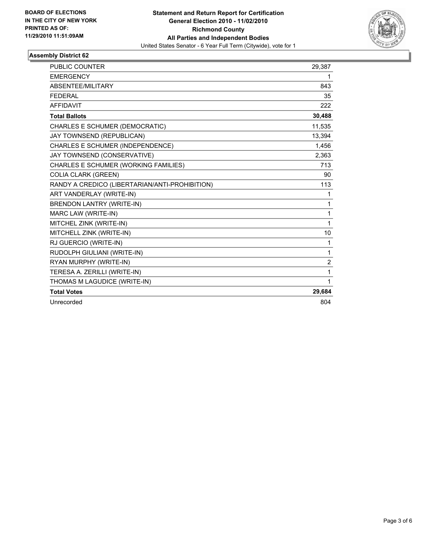

#### **Assembly District 62**

| <b>PUBLIC COUNTER</b>                          | 29,387         |
|------------------------------------------------|----------------|
| <b>EMERGENCY</b>                               | 1              |
| ABSENTEE/MILITARY                              | 843            |
| <b>FEDERAL</b>                                 | 35             |
| <b>AFFIDAVIT</b>                               | 222            |
| <b>Total Ballots</b>                           | 30,488         |
| CHARLES E SCHUMER (DEMOCRATIC)                 | 11,535         |
| JAY TOWNSEND (REPUBLICAN)                      | 13,394         |
| CHARLES E SCHUMER (INDEPENDENCE)               | 1,456          |
| JAY TOWNSEND (CONSERVATIVE)                    | 2,363          |
| CHARLES E SCHUMER (WORKING FAMILIES)           | 713            |
| <b>COLIA CLARK (GREEN)</b>                     | 90             |
| RANDY A CREDICO (LIBERTARIAN/ANTI-PROHIBITION) | 113            |
| ART VANDERLAY (WRITE-IN)                       | 1              |
| <b>BRENDON LANTRY (WRITE-IN)</b>               | 1              |
| MARC LAW (WRITE-IN)                            | 1              |
| MITCHEL ZINK (WRITE-IN)                        | 1              |
| MITCHELL ZINK (WRITE-IN)                       | 10             |
| RJ GUERCIO (WRITE-IN)                          | 1              |
| RUDOLPH GIULIANI (WRITE-IN)                    | 1              |
| RYAN MURPHY (WRITE-IN)                         | $\overline{2}$ |
| TERESA A. ZERILLI (WRITE-IN)                   | 1              |
| THOMAS M LAGUDICE (WRITE-IN)                   | 1              |
| <b>Total Votes</b>                             | 29,684         |
| Unrecorded                                     | 804            |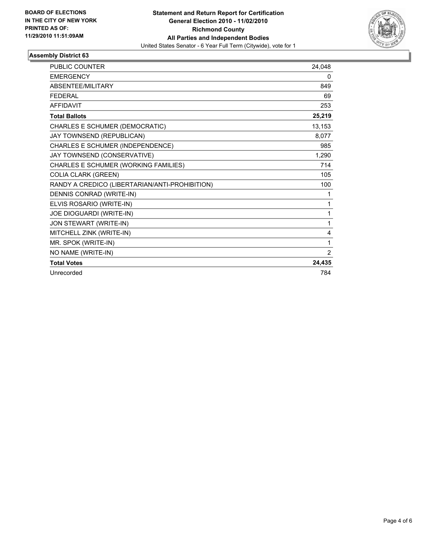

#### **Assembly District 63**

| <b>PUBLIC COUNTER</b>                          | 24,048 |
|------------------------------------------------|--------|
| <b>EMERGENCY</b>                               | 0      |
| ABSENTEE/MILITARY                              | 849    |
| <b>FEDERAL</b>                                 | 69     |
| <b>AFFIDAVIT</b>                               | 253    |
| <b>Total Ballots</b>                           | 25,219 |
| CHARLES E SCHUMER (DEMOCRATIC)                 | 13,153 |
| JAY TOWNSEND (REPUBLICAN)                      | 8,077  |
| CHARLES E SCHUMER (INDEPENDENCE)               | 985    |
| JAY TOWNSEND (CONSERVATIVE)                    | 1,290  |
| CHARLES E SCHUMER (WORKING FAMILIES)           | 714    |
| <b>COLIA CLARK (GREEN)</b>                     | 105    |
| RANDY A CREDICO (LIBERTARIAN/ANTI-PROHIBITION) | 100    |
| DENNIS CONRAD (WRITE-IN)                       | 1      |
| ELVIS ROSARIO (WRITE-IN)                       | 1      |
| <b>JOE DIOGUARDI (WRITE-IN)</b>                | 1      |
| JON STEWART (WRITE-IN)                         | 1      |
| MITCHELL ZINK (WRITE-IN)                       | 4      |
| MR. SPOK (WRITE-IN)                            | 1      |
| NO NAME (WRITE-IN)                             | 2      |
| <b>Total Votes</b>                             | 24,435 |
| Unrecorded                                     | 784    |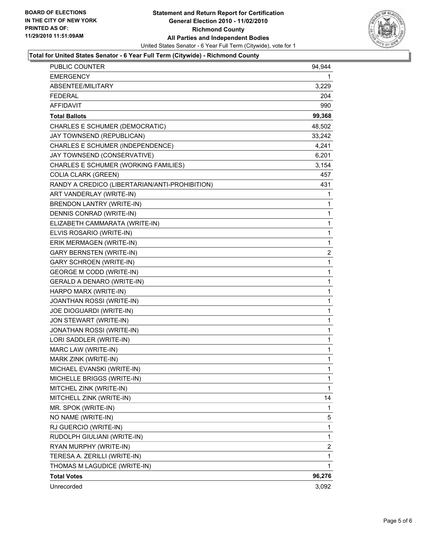

#### **Total for United States Senator - 6 Year Full Term (Citywide) - Richmond County**

| PUBLIC COUNTER                                 | 94,944      |
|------------------------------------------------|-------------|
| <b>EMERGENCY</b>                               | 1           |
| ABSENTEE/MILITARY                              | 3,229       |
| <b>FEDERAL</b>                                 | 204         |
| <b>AFFIDAVIT</b>                               | 990         |
| <b>Total Ballots</b>                           | 99,368      |
| CHARLES E SCHUMER (DEMOCRATIC)                 | 48,502      |
| JAY TOWNSEND (REPUBLICAN)                      | 33,242      |
| CHARLES E SCHUMER (INDEPENDENCE)               | 4,241       |
| JAY TOWNSEND (CONSERVATIVE)                    | 6,201       |
| CHARLES E SCHUMER (WORKING FAMILIES)           | 3,154       |
| <b>COLIA CLARK (GREEN)</b>                     | 457         |
| RANDY A CREDICO (LIBERTARIAN/ANTI-PROHIBITION) | 431         |
| ART VANDERLAY (WRITE-IN)                       | 1           |
| BRENDON LANTRY (WRITE-IN)                      | 1           |
| DENNIS CONRAD (WRITE-IN)                       | 1           |
| ELIZABETH CAMMARATA (WRITE-IN)                 | 1           |
| ELVIS ROSARIO (WRITE-IN)                       | 1           |
| ERIK MERMAGEN (WRITE-IN)                       | 1           |
| <b>GARY BERNSTEN (WRITE-IN)</b>                | 2           |
| <b>GARY SCHROEN (WRITE-IN)</b>                 | 1           |
| <b>GEORGE M CODD (WRITE-IN)</b>                | 1           |
| GERALD A DENARO (WRITE-IN)                     | 1           |
| HARPO MARX (WRITE-IN)                          | 1           |
| JOANTHAN ROSSI (WRITE-IN)                      | 1           |
| JOE DIOGUARDI (WRITE-IN)                       | 1           |
| JON STEWART (WRITE-IN)                         | 1           |
| JONATHAN ROSSI (WRITE-IN)                      | 1           |
| LORI SADDLER (WRITE-IN)                        | 1           |
| MARC LAW (WRITE-IN)                            | 1           |
| MARK ZINK (WRITE-IN)                           | 1           |
| MICHAEL EVANSKI (WRITE-IN)                     | $\mathbf 1$ |
| MICHELLE BRIGGS (WRITE-IN)                     | 1           |
| MITCHEL ZINK (WRITE-IN)                        | 1           |
| MITCHELL ZINK (WRITE-IN)                       | 14          |
| MR. SPOK (WRITE-IN)                            | 1           |
| NO NAME (WRITE-IN)                             | 5           |
| RJ GUERCIO (WRITE-IN)                          | 1           |
| RUDOLPH GIULIANI (WRITE-IN)                    | 1           |
| RYAN MURPHY (WRITE-IN)                         | 2           |
| TERESA A. ZERILLI (WRITE-IN)                   | 1           |
| THOMAS M LAGUDICE (WRITE-IN)                   | 1           |
| <b>Total Votes</b>                             | 96,276      |
| Unrecorded                                     | 3,092       |